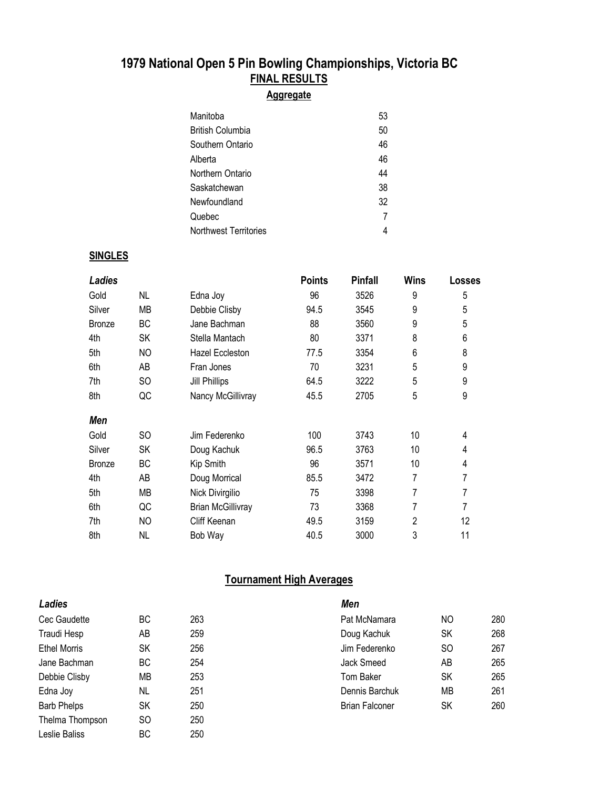## **1979 National Open 5 Pin Bowling Championships, Victoria BC FINAL RESULTS**

### **Aggregate**

| Manitoba              | 53 |
|-----------------------|----|
| British Columbia      | 50 |
| Southern Ontario      | 46 |
| Alberta               | 46 |
| Northern Ontario      | 44 |
| Saskatchewan          | 38 |
| Newfoundland          | 32 |
| Quebec                | 7  |
| Northwest Territories | 4  |

### **SINGLES**

| Ladies        |           |                          | <b>Points</b> | <b>Pinfall</b> | <b>Wins</b> | <b>Losses</b> |
|---------------|-----------|--------------------------|---------------|----------------|-------------|---------------|
| Gold          | NL        | Edna Joy                 | 96            | 3526           | 9           | 5             |
| Silver        | МB        | Debbie Clisby            | 94.5          | 3545           | 9           | 5             |
| <b>Bronze</b> | BC        | Jane Bachman             | 88            | 3560           | 9           | 5             |
| 4th           | SK        | Stella Mantach           | 80            | 3371           | 8           | 6             |
| 5th           | NO        | Hazel Eccleston          | 77.5          | 3354           | 6           | 8             |
| 6th           | AB        | Fran Jones               | 70            | 3231           | 5           | 9             |
| 7th           | SO.       | <b>Jill Phillips</b>     | 64.5          | 3222           | 5           | 9             |
| 8th           | QC        | Nancy McGillivray        | 45.5          | 2705           | 5           | 9             |
| Men           |           |                          |               |                |             |               |
| Gold          | SO        | Jim Federenko            | 100           | 3743           | 10          | 4             |
| Silver        | <b>SK</b> | Doug Kachuk              | 96.5          | 3763           | 10          | 4             |
| <b>Bronze</b> | BC        | Kip Smith                | 96            | 3571           | 10          | 4             |
| 4th           | AB        | Doug Morrical            | 85.5          | 3472           | 7           | 7             |
| 5th           | MB        | Nick Divirgilio          | 75            | 3398           | 7           | 7             |
| 6th           | QC        | <b>Brian McGillivray</b> | 73            | 3368           | 7           | 7             |
| 7th           | NO        | Cliff Keenan             | 49.5          | 3159           | 2           | 12            |
| 8th           | <b>NL</b> | Bob Way                  | 40.5          | 3000           | 3           | 11            |

### **Tournament High Averages**

| Ladies              |     |     | Men                   |     |     |
|---------------------|-----|-----|-----------------------|-----|-----|
| Cec Gaudette        | ВC  | 263 | Pat McNamara          | NO. | 280 |
| Traudi Hesp         | AΒ  | 259 | Doug Kachuk           | SΚ  | 268 |
| <b>Ethel Morris</b> | SK  | 256 | Jim Federenko         | SO  | 267 |
| Jane Bachman        | ВC  | 254 | Jack Smeed            | AΒ  | 265 |
| Debbie Clisby       | МB  | 253 | Tom Baker             | SK  | 265 |
| Edna Joy            | NL  | 251 | Dennis Barchuk        | МB  | 261 |
| <b>Barb Phelps</b>  | SK  | 250 | <b>Brian Falconer</b> | SΚ  | 260 |
| Thelma Thompson     | SO. | 250 |                       |     |     |
| Leslie Baliss       | ВC  | 250 |                       |     |     |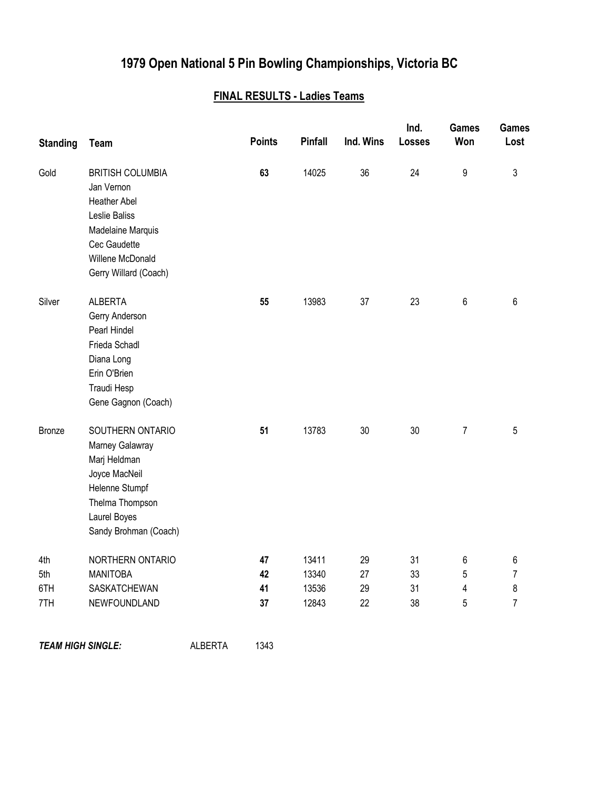# **1979 Open National 5 Pin Bowling Championships, Victoria BC**

## **FINAL RESULTS - Ladies Teams**

| <b>Standing</b>          | <b>Team</b>                                                                                                                                                     |                | <b>Points</b> | <b>Pinfall</b> | Ind. Wins | Ind.<br><b>Losses</b> | <b>Games</b><br>Won | Games<br>Lost  |
|--------------------------|-----------------------------------------------------------------------------------------------------------------------------------------------------------------|----------------|---------------|----------------|-----------|-----------------------|---------------------|----------------|
| Gold                     | <b>BRITISH COLUMBIA</b><br>Jan Vernon<br><b>Heather Abel</b><br>Leslie Baliss<br>Madelaine Marquis<br>Cec Gaudette<br>Willene McDonald<br>Gerry Willard (Coach) |                | 63            | 14025          | 36        | 24                    | 9                   | 3              |
| Silver                   | <b>ALBERTA</b><br>Gerry Anderson<br>Pearl Hindel<br>Frieda Schadl<br>Diana Long<br>Erin O'Brien<br>Traudi Hesp<br>Gene Gagnon (Coach)                           |                | 55            | 13983          | 37        | 23                    | 6                   | 6              |
| Bronze                   | SOUTHERN ONTARIO<br>Marney Galawray<br>Marj Heldman<br>Joyce MacNeil<br>Helenne Stumpf<br>Thelma Thompson<br>Laurel Boyes<br>Sandy Brohman (Coach)              |                | 51            | 13783          | 30        | 30                    | 7                   | 5              |
| 4th                      | NORTHERN ONTARIO                                                                                                                                                |                | 47            | 13411          | 29        | 31                    | 6                   | 6              |
| 5th                      | <b>MANITOBA</b>                                                                                                                                                 |                | 42            | 13340          | 27        | 33                    | 5                   | 7              |
| 6TH                      | SASKATCHEWAN                                                                                                                                                    |                | 41            | 13536          | 29        | 31                    | 4                   | 8              |
| 7TH                      | NEWFOUNDLAND                                                                                                                                                    |                | 37            | 12843          | 22        | 38                    | 5                   | $\overline{7}$ |
| <b>TEAM HIGH SINGLE:</b> |                                                                                                                                                                 | <b>ALBERTA</b> | 1343          |                |           |                       |                     |                |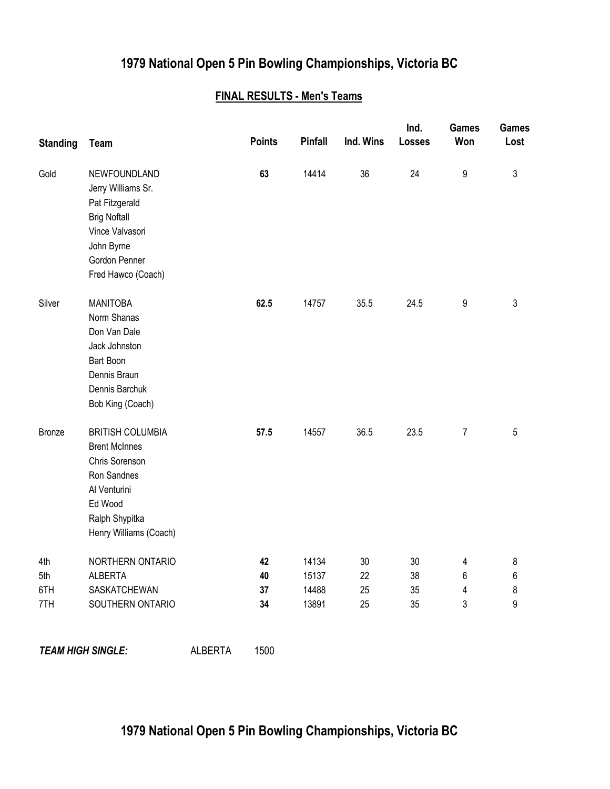## **1979 National Open 5 Pin Bowling Championships, Victoria BC**

### **FINAL RESULTS - Men's Teams**

| <b>Standing</b> | <b>Team</b>                                                                                                                                             |                | <b>Points</b> | <b>Pinfall</b> | Ind. Wins | Ind.<br>Losses | <b>Games</b><br>Won | Games<br>Lost |
|-----------------|---------------------------------------------------------------------------------------------------------------------------------------------------------|----------------|---------------|----------------|-----------|----------------|---------------------|---------------|
| Gold            | NEWFOUNDLAND<br>Jerry Williams Sr.<br>Pat Fitzgerald<br><b>Brig Noftall</b><br>Vince Valvasori<br>John Byrne<br>Gordon Penner<br>Fred Hawco (Coach)     |                | 63            | 14414          | 36        | 24             | 9                   | 3             |
| Silver          | <b>MANITOBA</b><br>Norm Shanas<br>Don Van Dale<br>Jack Johnston<br>Bart Boon<br>Dennis Braun<br>Dennis Barchuk<br>Bob King (Coach)                      |                | 62.5          | 14757          | 35.5      | 24.5           | 9                   | 3             |
| <b>Bronze</b>   | <b>BRITISH COLUMBIA</b><br><b>Brent McInnes</b><br>Chris Sorenson<br>Ron Sandnes<br>Al Venturini<br>Ed Wood<br>Ralph Shypitka<br>Henry Williams (Coach) |                | 57.5          | 14557          | 36.5      | 23.5           | $\overline{7}$      | 5             |
| 4th             | NORTHERN ONTARIO                                                                                                                                        |                | 42            | 14134          | 30        | 30             | 4                   | 8             |
| 5th             | <b>ALBERTA</b>                                                                                                                                          |                | 40            | 15137          | 22        | 38             | 6                   | 6             |
| 6TH             | SASKATCHEWAN                                                                                                                                            |                | 37            | 14488          | 25        | 35             | 4                   | 8             |
| 7TH             | SOUTHERN ONTARIO                                                                                                                                        |                | 34            | 13891          | 25        | 35             | 3                   | 9             |
|                 | <b>TEAM HIGH SINGLE:</b>                                                                                                                                | <b>ALBERTA</b> | 1500          |                |           |                |                     |               |